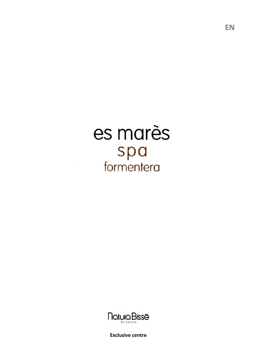



**Exclusive centre**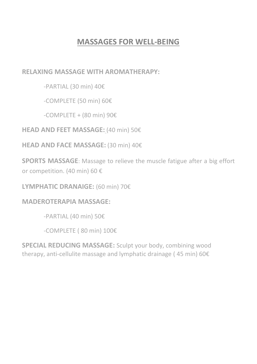# **MASSAGES FOR WELL-BEING**

**RELAXING MASSAGE WITH AROMATHERAPY:**

-PARTIAL (30 min) 40€

-COMPLETE (50 min) 60€

 $-COMPLETE + (80 min) 90E$ 

**HEAD AND FEET MASSAGE:** (40 min) 50€

**HEAD AND FACE MASSAGE:** (30 min) 40€

**SPORTS MASSAGE**: Massage to relieve the muscle fatigue after a big effort or competition. (40 min) 60 €

**LYMPHATIC DRANAIGE:** (60 min) 70€

### **MADEROTERAPIA MASSAGE:**

-PARTIAL (40 min) 50€

-COMPLETE ( 80 min) 100€

**SPECIAL REDUCING MASSAGE:** Sculpt your body, combining wood therapy, anti-cellulite massage and lymphatic drainage ( 45 min) 60€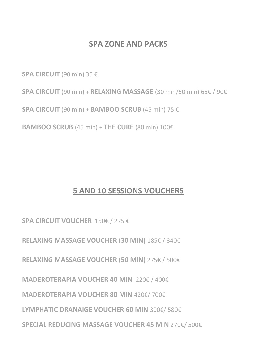## **SPA ZONE AND PACKS**

**SPA CIRCUIT** (90 min) 35 €

**SPA CIRCUIT** (90 min) **+ RELAXING MASSAGE** (30 min/50 min) 65€ / 90€

**SPA CIRCUIT** (90 min) **+ BAMBOO SCRUB** (45 min) 75 €

**BAMBOO SCRUB** (45 min) + **THE CURE** (80 min) 100€

# **5 AND 10 SESSIONS VOUCHERS**

**SPA CIRCUIT VOUCHER** 150€ / 275 €

**RELAXING MASSAGE VOUCHER (30 MIN)** 185€ / 340€

**RELAXING MASSAGE VOUCHER (50 MIN)** 275€ / 500€

**MADEROTERAPIA VOUCHER 40 MIN** 220€ / 400€

**MADEROTERAPIA VOUCHER 80 MIN** 420€/ 700€

**LYMPHATIC DRANAIGE VOUCHER 60 MIN** 300€/ 580€

**SPECIAL REDUCING MASSAGE VOUCHER 45 MIN** 270€/ 500€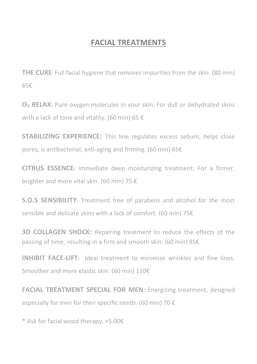# **FACIAL TREATMENTS**

**THE CURE**: Full facial hygiene that removes impurities from the skin. (80 min) 65€

**O<sup>2</sup> RELAX:** Pure oxygen molecules in your skin. For dull or dehydrated skins with a lack of tone and vitality. (60 min) 65  $\epsilon$ 

**STABILIZING EXPERIENCE:** This line regulates excess sebum, helps close pores, is antibacterial, anti-aging and firming. (60 min) 65€

**CITRUS ESSENCE:** Immediate deep moisturizing treatment. For a firmer, brighter and more vital skin. (60 min) 75 €

**S.O.S SENSIBILITY**: Treatment free of parabens and alcohol for the most sensible and delicate skins with a lack of comfort. (60 min) 75€

**3D COLLAGEN SHOCK:** Repairing treatment to reduce the effects of the passing of time, resulting in a firm and smooth skin. (60 min) 85€

**INHIBIT FACE-LIFT:** Ideal treatment to minimize wrinkles and fine lines. Smoother and more elastic skin. (60 min) 110€

**FACIAL TREATMENT SPECIAL FOR MEN:** Energizing treatment, designed especially for men for their specific needs. (60 min) 70  $\epsilon$ 

\* Ask for facial wood therapy, +5.00€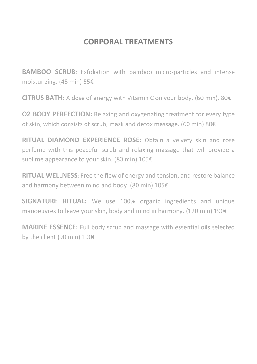# **CORPORAL TREATMENTS**

**BAMBOO SCRUB**: Exfoliation with bamboo micro-particles and intense moisturizing. (45 min) 55€

**CITRUS BATH:** A dose of energy with Vitamin C on your body. (60 min). 80€

**O2 BODY PERFECTION:** Relaxing and oxygenating treatment for every type of skin, which consists of scrub, mask and detox massage. (60 min) 80€

**RITUAL DIAMOND EXPERIENCE ROSE:** Obtain a velvety skin and rose perfume with this peaceful scrub and relaxing massage that will provide a sublime appearance to your skin. (80 min) 105€

**RITUAL WELLNESS**: Free the flow of energy and tension, and restore balance and harmony between mind and body. (80 min) 105€

**SIGNATURE RITUAL:** We use 100% organic ingredients and unique manoeuvres to leave your skin, body and mind in harmony. (120 min) 190€

**MARINE ESSENCE:** Full body scrub and massage with essential oils selected by the client (90 min) 100€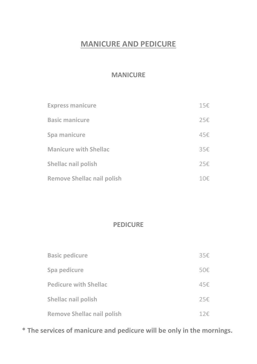### **MANICURE AND PEDICURE**

### **MANICURE**

| <b>Express manicure</b>           | 15€ |
|-----------------------------------|-----|
| <b>Basic manicure</b>             | 25€ |
| Spa manicure                      | 45€ |
| <b>Manicure with Shellac</b>      | 35€ |
| Shellac nail polish               | 25€ |
| <b>Remove Shellac nail polish</b> | 10€ |

### **PEDICURE**

| <b>Basic pedicure</b>             | 35€  |
|-----------------------------------|------|
| Spa pedicure                      | 50€  |
| <b>Pedicure with Shellac</b>      | 45€. |
| Shellac nail polish               | 25€  |
| <b>Remove Shellac nail polish</b> | 12€  |

**\* The services of manicure and pedicure will be only in the mornings.**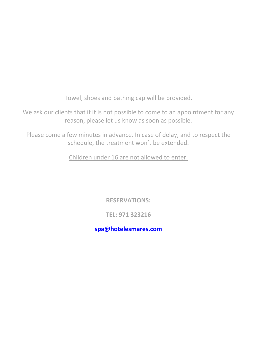Towel, shoes and bathing cap will be provided.

We ask our clients that if it is not possible to come to an appointment for any reason, please let us know as soon as possible.

Please come a few minutes in advance. In case of delay, and to respect the schedule, the treatment won't be extended.

Children under 16 are not allowed to enter.

**RESERVATIONS:**

**TEL: 971 323216**

**[spa@hotelesmares.com](mailto:spa@hotelesmares.com)**